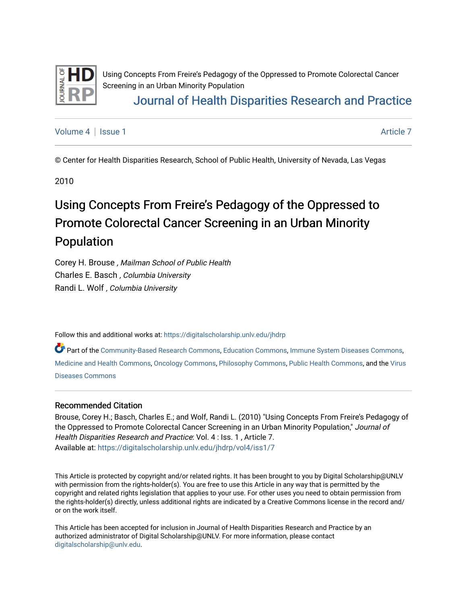

Using Concepts From Freire's Pedagogy of the Oppressed to Promote Colorectal Cancer Screening in an Urban Minority Population

# [Journal of Health Disparities Research and Practice](https://digitalscholarship.unlv.edu/jhdrp)

[Volume 4](https://digitalscholarship.unlv.edu/jhdrp/vol4) | [Issue 1](https://digitalscholarship.unlv.edu/jhdrp/vol4/iss1) [Article 7](https://digitalscholarship.unlv.edu/jhdrp/vol4/iss1/7) Article 7 Article 7 Article 7 Article 7 Article 7 Article 7 Article 7 Article 7 Article 7 Article 7 Article 7 Article 7 Article 7 Article 7 Article 7 Article 7 Article 7 Article 7 Article 7 Art

© Center for Health Disparities Research, School of Public Health, University of Nevada, Las Vegas

2010

# Using Concepts From Freire's Pedagogy of the Oppressed to Promote Colorectal Cancer Screening in an Urban Minority Population

Corey H. Brouse , Mailman School of Public Health Charles E. Basch , Columbia University Randi L. Wolf , Columbia University

Follow this and additional works at: [https://digitalscholarship.unlv.edu/jhdrp](https://digitalscholarship.unlv.edu/jhdrp?utm_source=digitalscholarship.unlv.edu%2Fjhdrp%2Fvol4%2Fiss1%2F7&utm_medium=PDF&utm_campaign=PDFCoverPages) 

Part of the [Community-Based Research Commons,](http://network.bepress.com/hgg/discipline/1047?utm_source=digitalscholarship.unlv.edu%2Fjhdrp%2Fvol4%2Fiss1%2F7&utm_medium=PDF&utm_campaign=PDFCoverPages) [Education Commons](http://network.bepress.com/hgg/discipline/784?utm_source=digitalscholarship.unlv.edu%2Fjhdrp%2Fvol4%2Fiss1%2F7&utm_medium=PDF&utm_campaign=PDFCoverPages), [Immune System Diseases Commons,](http://network.bepress.com/hgg/discipline/933?utm_source=digitalscholarship.unlv.edu%2Fjhdrp%2Fvol4%2Fiss1%2F7&utm_medium=PDF&utm_campaign=PDFCoverPages) [Medicine and Health Commons,](http://network.bepress.com/hgg/discipline/422?utm_source=digitalscholarship.unlv.edu%2Fjhdrp%2Fvol4%2Fiss1%2F7&utm_medium=PDF&utm_campaign=PDFCoverPages) [Oncology Commons](http://network.bepress.com/hgg/discipline/694?utm_source=digitalscholarship.unlv.edu%2Fjhdrp%2Fvol4%2Fiss1%2F7&utm_medium=PDF&utm_campaign=PDFCoverPages), [Philosophy Commons](http://network.bepress.com/hgg/discipline/525?utm_source=digitalscholarship.unlv.edu%2Fjhdrp%2Fvol4%2Fiss1%2F7&utm_medium=PDF&utm_campaign=PDFCoverPages), [Public Health Commons,](http://network.bepress.com/hgg/discipline/738?utm_source=digitalscholarship.unlv.edu%2Fjhdrp%2Fvol4%2Fiss1%2F7&utm_medium=PDF&utm_campaign=PDFCoverPages) and the [Virus](http://network.bepress.com/hgg/discipline/998?utm_source=digitalscholarship.unlv.edu%2Fjhdrp%2Fvol4%2Fiss1%2F7&utm_medium=PDF&utm_campaign=PDFCoverPages)  [Diseases Commons](http://network.bepress.com/hgg/discipline/998?utm_source=digitalscholarship.unlv.edu%2Fjhdrp%2Fvol4%2Fiss1%2F7&utm_medium=PDF&utm_campaign=PDFCoverPages)

#### Recommended Citation

Brouse, Corey H.; Basch, Charles E.; and Wolf, Randi L. (2010) "Using Concepts From Freire's Pedagogy of the Oppressed to Promote Colorectal Cancer Screening in an Urban Minority Population," Journal of Health Disparities Research and Practice: Vol. 4 : Iss. 1 , Article 7. Available at: [https://digitalscholarship.unlv.edu/jhdrp/vol4/iss1/7](https://digitalscholarship.unlv.edu/jhdrp/vol4/iss1/7?utm_source=digitalscholarship.unlv.edu%2Fjhdrp%2Fvol4%2Fiss1%2F7&utm_medium=PDF&utm_campaign=PDFCoverPages)

This Article is protected by copyright and/or related rights. It has been brought to you by Digital Scholarship@UNLV with permission from the rights-holder(s). You are free to use this Article in any way that is permitted by the copyright and related rights legislation that applies to your use. For other uses you need to obtain permission from the rights-holder(s) directly, unless additional rights are indicated by a Creative Commons license in the record and/ or on the work itself.

This Article has been accepted for inclusion in Journal of Health Disparities Research and Practice by an authorized administrator of Digital Scholarship@UNLV. For more information, please contact [digitalscholarship@unlv.edu](mailto:digitalscholarship@unlv.edu).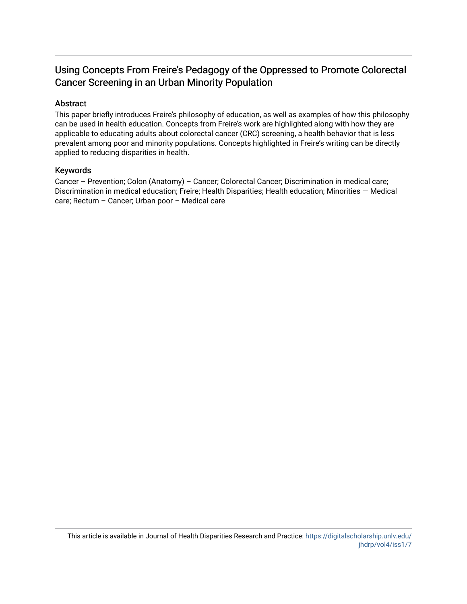## Using Concepts From Freire's Pedagogy of the Oppressed to Promote Colorectal Cancer Screening in an Urban Minority Population

### Abstract

This paper briefly introduces Freire's philosophy of education, as well as examples of how this philosophy can be used in health education. Concepts from Freire's work are highlighted along with how they are applicable to educating adults about colorectal cancer (CRC) screening, a health behavior that is less prevalent among poor and minority populations. Concepts highlighted in Freire's writing can be directly applied to reducing disparities in health.

#### Keywords

Cancer – Prevention; Colon (Anatomy) – Cancer; Colorectal Cancer; Discrimination in medical care; Discrimination in medical education; Freire; Health Disparities; Health education; Minorities — Medical care; Rectum – Cancer; Urban poor – Medical care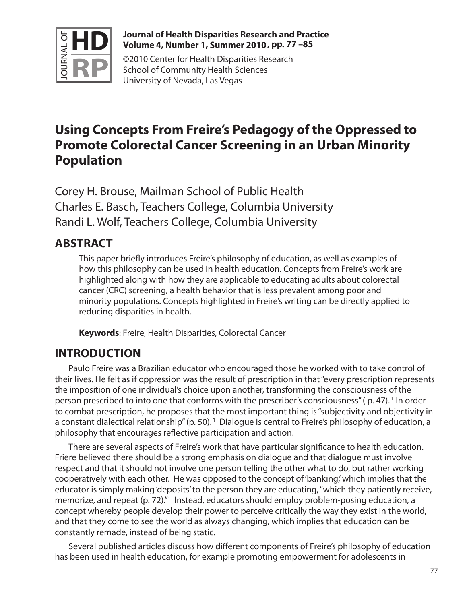

### **Journal of Health Disparities Research and Practice Volume 4, Number 1, Summer 2010 , pp. 77 –85**

©2010 Center for Health Disparities Research School of Community Health Sciences University of Nevada, Las Vegas

# **Using Concepts From Freire's Pedagogy of the Oppressed to Promote Colorectal Cancer Screening in an Urban Minority Population**

Corey H. Brouse, Mailman School of Public Health Charles E. Basch, Teachers College, Columbia University Randi L. Wolf, Teachers College, Columbia University

# **ABSTRACT**

This paper briefly introduces Freire's philosophy of education, as well as examples of how this philosophy can be used in health education. Concepts from Freire's work are highlighted along with how they are applicable to educating adults about colorectal cancer (CRC) screening, a health behavior that is less prevalent among poor and minority populations. Concepts highlighted in Freire's writing can be directly applied to reducing disparities in health.

**Keywords**: Freire, Health Disparities, Colorectal Cancer

# **INTRODUCTION**

Paulo Freire was a Brazilian educator who encouraged those he worked with to take control of their lives. He felt as if oppression was the result of prescription in that "every prescription represents the imposition of one individual's choice upon another, transforming the consciousness of the person prescribed to into one that conforms with the prescriber's consciousness" (p. 47).<sup>1</sup> In order to combat prescription, he proposes that the most important thing is "subjectivity and objectivity in a constant dialectical relationship" (p. 50).<sup>1</sup> Dialogue is central to Freire's philosophy of education, a philosophy that encourages reflective participation and action.

There are several aspects of Freire's work that have particular significance to health education. Friere believed there should be a strong emphasis on dialogue and that dialogue must involve respect and that it should not involve one person telling the other what to do, but rather working cooperatively with each other. He was opposed to the concept of 'banking,' which implies that the educator is simply making 'deposits' to the person they are educating, "which they patiently receive, memorize, and repeat (p. 72)."<sup>1</sup> Instead, educators should employ problem-posing education, a concept whereby people develop their power to perceive critically the way they exist in the world, and that they come to see the world as always changing, which implies that education can be constantly remade, instead of being static.

Several published articles discuss how different components of Freire's philosophy of education has been used in health education, for example promoting empowerment for adolescents in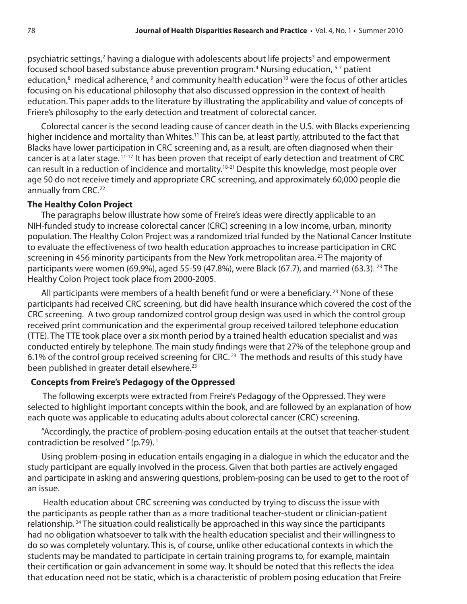psychiatric settings,<sup>2</sup> having a dialogue with adolescents about life projects<sup>3</sup> and empowerment focused school based substance abuse prevention program.<sup>4</sup> Nursing education, <sup>5-7</sup> patient education,<sup>8</sup> medical adherence,  $9$  and community health education<sup>10</sup> were the focus of other articles focusing on his educational philosophy that also discussed oppression in the context of health education. This paper adds to the literature by illustrating the applicability and value of concepts of Friere's philosophy to the early detection and treatment of colorectal cancer.

Colorectal cancer is the second leading cause of cancer death in the U.S. with Blacks experiencing higher incidence and mortality than Whites.<sup>11</sup> This can be, at least partly, attributed to the fact that Blacks have lower participation in CRC screening and, as a result, are often diagnosed when their cancer is at a later stage. 11-17 It has been proven that receipt of early detection and treatment of CRC can result in a reduction of incidence and mortality.18-21 Despite this knowledge, most people over age 50 do not receive timely and appropriate CRC screening, and approximately 60,000 people die annually from CRC.<sup>22</sup>

#### **The Healthy Colon Project**

The paragraphs below illustrate how some of Freire's ideas were directly applicable to an NIH-funded study to increase colorectal cancer (CRC) screening in a low income, urban, minority population. The Healthy Colon Project was a randomized trial funded by the National Cancer Institute to evaluate the effectiveness of two health education approaches to increase participation in CRC screening in 456 minority participants from the New York metropolitan area.<sup>23</sup> The majority of participants were women (69.9%), aged 55-59 (47.8%), were Black (67.7), and married (63.3). <sup>23</sup> The Healthy Colon Project took place from 2000-2005.

All participants were members of a health benefit fund or were a beneficiary.<sup>23</sup> None of these participants had received CRC screening, but did have health insurance which covered the cost of the CRC screening. A two group randomized control group design was used in which the control group received print communication and the experimental group received tailored telephone education (TTE). The TTE took place over a six month period by a trained health education specialist and was conducted entirely by telephone. The main study findings were that 27% of the telephone group and 6.1% of the control group received screening for CRC. 23 The methods and results of this study have been published in greater detail elsewhere.<sup>23</sup>

### **Concepts from Freire's Pedagogy of the Oppressed**

 The following excerpts were extracted from Freire's Pedagogy of the Oppressed. They were selected to highlight important concepts within the book, and are followed by an explanation of how each quote was applicable to educating adults about colorectal cancer (CRC) screening.

"Accordingly, the practice of problem-posing education entails at the outset that teacher-student contradiction be resolved " (p.79). 1

Using problem-posing in education entails engaging in a dialogue in which the educator and the study participant are equally involved in the process. Given that both parties are actively engaged and participate in asking and answering questions, problem-posing can be used to get to the root of an issue.

 Health education about CRC screening was conducted by trying to discuss the issue with the participants as people rather than as a more traditional teacher-student or clinician-patient relationship. 24 The situation could realistically be approached in this way since the participants had no obligation whatsoever to talk with the health education specialist and their willingness to do so was completely voluntary. This is, of course, unlike other educational contexts in which the students may be mandated to participate in certain training programs to, for example, maintain their certification or gain advancement in some way. It should be noted that this reflects the idea that education need not be static, which is a characteristic of problem posing education that Freire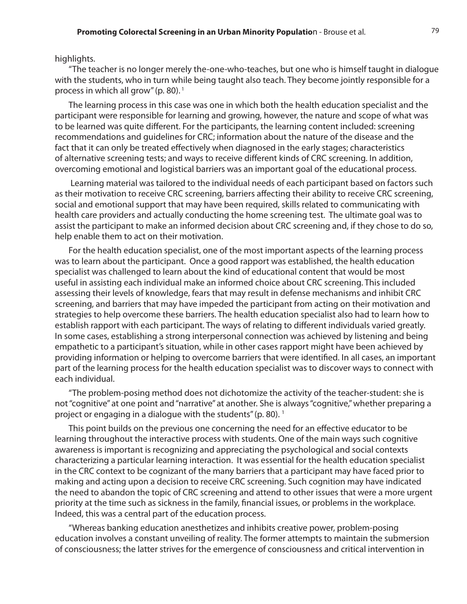#### highlights.

"The teacher is no longer merely the-one-who-teaches, but one who is himself taught in dialogue with the students, who in turn while being taught also teach. They become jointly responsible for a process in which all grow" (p. 80). 1

The learning process in this case was one in which both the health education specialist and the participant were responsible for learning and growing, however, the nature and scope of what was to be learned was quite different. For the participants, the learning content included: screening recommendations and guidelines for CRC; information about the nature of the disease and the fact that it can only be treated effectively when diagnosed in the early stages; characteristics of alternative screening tests; and ways to receive different kinds of CRC screening. In addition, overcoming emotional and logistical barriers was an important goal of the educational process.

 Learning material was tailored to the individual needs of each participant based on factors such as their motivation to receive CRC screening, barriers affecting their ability to receive CRC screening, social and emotional support that may have been required, skills related to communicating with health care providers and actually conducting the home screening test. The ultimate goal was to assist the participant to make an informed decision about CRC screening and, if they chose to do so, help enable them to act on their motivation.

For the health education specialist, one of the most important aspects of the learning process was to learn about the participant. Once a good rapport was established, the health education specialist was challenged to learn about the kind of educational content that would be most useful in assisting each individual make an informed choice about CRC screening. This included assessing their levels of knowledge, fears that may result in defense mechanisms and inhibit CRC screening, and barriers that may have impeded the participant from acting on their motivation and strategies to help overcome these barriers. The health education specialist also had to learn how to establish rapport with each participant. The ways of relating to different individuals varied greatly. In some cases, establishing a strong interpersonal connection was achieved by listening and being empathetic to a participant's situation, while in other cases rapport might have been achieved by providing information or helping to overcome barriers that were identified. In all cases, an important part of the learning process for the health education specialist was to discover ways to connect with each individual.

"The problem-posing method does not dichotomize the activity of the teacher-student: she is not "cognitive" at one point and "narrative" at another. She is always "cognitive," whether preparing a project or engaging in a dialogue with the students" (p. 80).  $<sup>1</sup>$ </sup>

This point builds on the previous one concerning the need for an effective educator to be learning throughout the interactive process with students. One of the main ways such cognitive awareness is important is recognizing and appreciating the psychological and social contexts characterizing a particular learning interaction. It was essential for the health education specialist in the CRC context to be cognizant of the many barriers that a participant may have faced prior to making and acting upon a decision to receive CRC screening. Such cognition may have indicated the need to abandon the topic of CRC screening and attend to other issues that were a more urgent priority at the time such as sickness in the family, financial issues, or problems in the workplace. Indeed, this was a central part of the education process.

"Whereas banking education anesthetizes and inhibits creative power, problem-posing education involves a constant unveiling of reality. The former attempts to maintain the submersion of consciousness; the latter strives for the emergence of consciousness and critical intervention in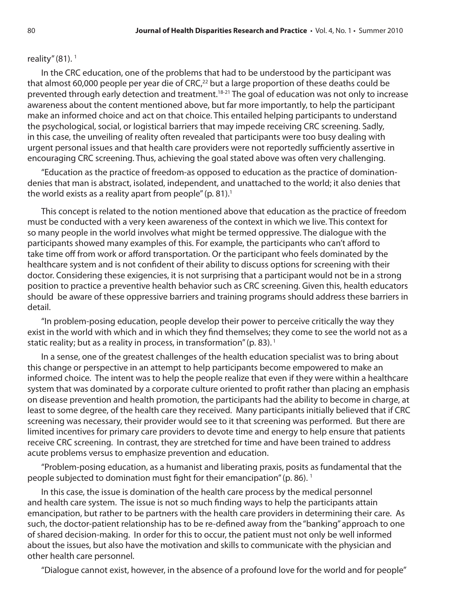### reality"  $(81).$ <sup>1</sup>

In the CRC education, one of the problems that had to be understood by the participant was that almost 60,000 people per year die of CRC $^{22}$  but a large proportion of these deaths could be prevented through early detection and treatment.<sup>18-21</sup> The goal of education was not only to increase awareness about the content mentioned above, but far more importantly, to help the participant make an informed choice and act on that choice. This entailed helping participants to understand the psychological, social, or logistical barriers that may impede receiving CRC screening. Sadly, in this case, the unveiling of reality often revealed that participants were too busy dealing with urgent personal issues and that health care providers were not reportedly sufficiently assertive in encouraging CRC screening. Thus, achieving the goal stated above was often very challenging.

"Education as the practice of freedom-as opposed to education as the practice of dominationdenies that man is abstract, isolated, independent, and unattached to the world; it also denies that the world exists as a reality apart from people"  $(p, 81)$ .<sup>1</sup>

This concept is related to the notion mentioned above that education as the practice of freedom must be conducted with a very keen awareness of the context in which we live. This context for so many people in the world involves what might be termed oppressive. The dialogue with the participants showed many examples of this. For example, the participants who can't afford to take time off from work or afford transportation. Or the participant who feels dominated by the healthcare system and is not confident of their ability to discuss options for screening with their doctor. Considering these exigencies, it is not surprising that a participant would not be in a strong position to practice a preventive health behavior such as CRC screening. Given this, health educators should be aware of these oppressive barriers and training programs should address these barriers in detail.

"In problem-posing education, people develop their power to perceive critically the way they exist in the world with which and in which they find themselves; they come to see the world not as a static reality; but as a reality in process, in transformation" (p. 83).<sup>1</sup>

In a sense, one of the greatest challenges of the health education specialist was to bring about this change or perspective in an attempt to help participants become empowered to make an informed choice. The intent was to help the people realize that even if they were within a healthcare system that was dominated by a corporate culture oriented to profit rather than placing an emphasis on disease prevention and health promotion, the participants had the ability to become in charge, at least to some degree, of the health care they received. Many participants initially believed that if CRC screening was necessary, their provider would see to it that screening was performed. But there are limited incentives for primary care providers to devote time and energy to help ensure that patients receive CRC screening. In contrast, they are stretched for time and have been trained to address acute problems versus to emphasize prevention and education.

"Problem-posing education, as a humanist and liberating praxis, posits as fundamental that the people subjected to domination must fight for their emancipation" (p. 86). 1

In this case, the issue is domination of the health care process by the medical personnel and health care system. The issue is not so much finding ways to help the participants attain emancipation, but rather to be partners with the health care providers in determining their care. As such, the doctor-patient relationship has to be re-defined away from the "banking" approach to one of shared decision-making. In order for this to occur, the patient must not only be well informed about the issues, but also have the motivation and skills to communicate with the physician and other health care personnel.

"Dialogue cannot exist, however, in the absence of a profound love for the world and for people"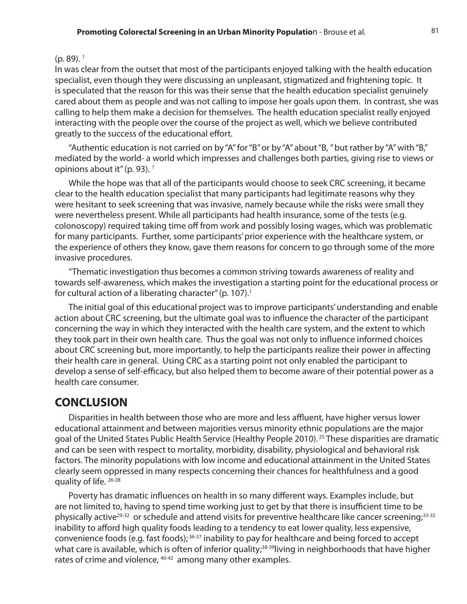### $(p. 89).$ <sup>1</sup>

In was clear from the outset that most of the participants enjoyed talking with the health education specialist, even though they were discussing an unpleasant, stigmatized and frightening topic. It is speculated that the reason for this was their sense that the health education specialist genuinely cared about them as people and was not calling to impose her goals upon them. In contrast, she was calling to help them make a decision for themselves. The health education specialist really enjoyed interacting with the people over the course of the project as well, which we believe contributed greatly to the success of the educational effort.

"Authentic education is not carried on by "A" for "B" or by "A" about "B, " but rather by "A" with "B," mediated by the world- a world which impresses and challenges both parties, giving rise to views or opinions about it" (p. 93).<sup>1</sup>

While the hope was that all of the participants would choose to seek CRC screening, it became clear to the health education specialist that many participants had legitimate reasons why they were hesitant to seek screening that was invasive, namely because while the risks were small they were nevertheless present. While all participants had health insurance, some of the tests (e.g. colonoscopy) required taking time off from work and possibly losing wages, which was problematic for many participants. Further, some participants' prior experience with the healthcare system, or the experience of others they know, gave them reasons for concern to go through some of the more invasive procedures.

"Thematic investigation thus becomes a common striving towards awareness of reality and towards self-awareness, which makes the investigation a starting point for the educational process or for cultural action of a liberating character" (p. 107).<sup>1</sup>

The initial goal of this educational project was to improve participants' understanding and enable action about CRC screening, but the ultimate goal was to influence the character of the participant concerning the way in which they interacted with the health care system, and the extent to which they took part in their own health care. Thus the goal was not only to influence informed choices about CRC screening but, more importantly, to help the participants realize their power in affecting their health care in general. Using CRC as a starting point not only enabled the participant to develop a sense of self-efficacy, but also helped them to become aware of their potential power as a health care consumer.

## **CONCLUSION**

Disparities in health between those who are more and less affluent, have higher versus lower educational attainment and between majorities versus minority ethnic populations are the major goal of the United States Public Health Service (Healthy People 2010). 25 These disparities are dramatic and can be seen with respect to mortality, morbidity, disability, physiological and behavioral risk factors. The minority populations with low income and educational attainment in the United States clearly seem oppressed in many respects concerning their chances for healthfulness and a good quality of life. 26-28

Poverty has dramatic influences on health in so many different ways. Examples include, but are not limited to, having to spend time working just to get by that there is insufficient time to be physically active<sup>29-32</sup> or schedule and attend visits for preventive healthcare like cancer screening;<sup>33-35</sup> inability to afford high quality foods leading to a tendency to eat lower quality, less expensive, convenience foods (e.g. fast foods); 36-37 inability to pay for healthcare and being forced to accept what care is available, which is often of inferior quality;<sup>38-39</sup>living in neighborhoods that have higher rates of crime and violence, <sup>40-42</sup> among many other examples.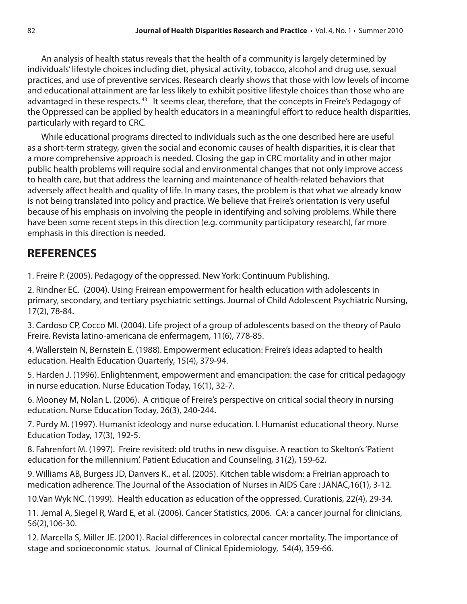An analysis of health status reveals that the health of a community is largely determined by individuals' lifestyle choices including diet, physical activity, tobacco, alcohol and drug use, sexual practices, and use of preventive services. Research clearly shows that those with low levels of income and educational attainment are far less likely to exhibit positive lifestyle choices than those who are advantaged in these respects.<sup>43</sup> It seems clear, therefore, that the concepts in Freire's Pedagogy of the Oppressed can be applied by health educators in a meaningful effort to reduce health disparities, particularly with regard to CRC.

While educational programs directed to individuals such as the one described here are useful as a short-term strategy, given the social and economic causes of health disparities, it is clear that a more comprehensive approach is needed. Closing the gap in CRC mortality and in other major public health problems will require social and environmental changes that not only improve access to health care, but that address the learning and maintenance of health-related behaviors that adversely affect health and quality of life. In many cases, the problem is that what we already know is not being translated into policy and practice. We believe that Freire's orientation is very useful because of his emphasis on involving the people in identifying and solving problems. While there have been some recent steps in this direction (e.g. community participatory research), far more emphasis in this direction is needed.

# **REFERENCES**

1. Freire P. (2005). Pedagogy of the oppressed. New York: Continuum Publishing.

2. Rindner EC. (2004). Using Freirean empowerment for health education with adolescents in primary, secondary, and tertiary psychiatric settings. Journal of Child Adolescent Psychiatric Nursing, 17(2), 78-84.

3. Cardoso CP, Cocco MI. (2004). Life project of a group of adolescents based on the theory of Paulo Freire. Revista latino-americana de enfermagem, 11(6), 778-85.

4. Wallerstein N, Bernstein E. (1988). Empowerment education: Freire's ideas adapted to health education. Health Education Quarterly, 15(4), 379-94.

5. Harden J. (1996). Enlightenment, empowerment and emancipation: the case for critical pedagogy in nurse education. Nurse Education Today, 16(1), 32-7.

6. Mooney M, Nolan L. (2006). A critique of Freire's perspective on critical social theory in nursing education. Nurse Education Today, 26(3), 240-244.

7. Purdy M. (1997). Humanist ideology and nurse education. I. Humanist educational theory. Nurse Education Today, 17(3), 192-5.

8. Fahrenfort M. (1997). Freire revisited: old truths in new disguise. A reaction to Skelton's 'Patient education for the millennium'. Patient Education and Counseling, 31(2), 159-62.

9. Williams AB, Burgess JD, Danvers K., et al. (2005). Kitchen table wisdom: a Freirian approach to medication adherence. The Journal of the Association of Nurses in AIDS Care : JANAC,16(1), 3-12.

10.Van Wyk NC. (1999). Health education as education of the oppressed. Curationis, 22(4), 29-34.

11. Jemal A, Siegel R, Ward E, et al. (2006). Cancer Statistics, 2006. CA: a cancer journal for clinicians, 56(2),106-30.

12. Marcella S, Miller JE. (2001). Racial differences in colorectal cancer mortality. The importance of stage and socioeconomic status. Journal of Clinical Epidemiology, 54(4), 359-66.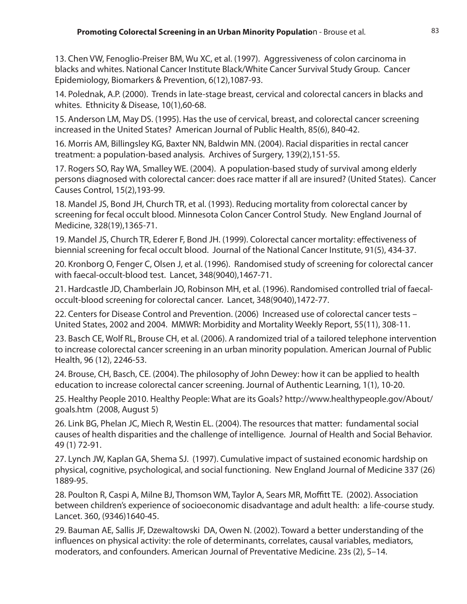13. Chen VW, Fenoglio-Preiser BM, Wu XC, et al. (1997). Aggressiveness of colon carcinoma in blacks and whites. National Cancer Institute Black/White Cancer Survival Study Group. Cancer Epidemiology, Biomarkers & Prevention, 6(12),1087-93.

14. Polednak, A.P. (2000). Trends in late-stage breast, cervical and colorectal cancers in blacks and whites. Ethnicity & Disease, 10(1),60-68.

15. Anderson LM, May DS. (1995). Has the use of cervical, breast, and colorectal cancer screening increased in the United States? American Journal of Public Health, 85(6), 840-42.

16. Morris AM, Billingsley KG, Baxter NN, Baldwin MN. (2004). Racial disparities in rectal cancer treatment: a population-based analysis. Archives of Surgery, 139(2),151-55.

17. Rogers SO, Ray WA, Smalley WE. (2004). A population-based study of survival among elderly persons diagnosed with colorectal cancer: does race matter if all are insured? (United States). Cancer Causes Control, 15(2),193-99.

18. Mandel JS, Bond JH, Church TR, et al. (1993). Reducing mortality from colorectal cancer by screening for fecal occult blood. Minnesota Colon Cancer Control Study. New England Journal of Medicine, 328(19),1365-71.

19. Mandel JS, Church TR, Ederer F, Bond JH. (1999). Colorectal cancer mortality: effectiveness of biennial screening for fecal occult blood. Journal of the National Cancer Institute, 91(5), 434-37.

20. Kronborg O, Fenger C, Olsen J, et al. (1996). Randomised study of screening for colorectal cancer with faecal-occult-blood test. Lancet, 348(9040),1467-71.

21. Hardcastle JD, Chamberlain JO, Robinson MH, et al. (1996). Randomised controlled trial of faecaloccult-blood screening for colorectal cancer. Lancet, 348(9040),1472-77.

22. Centers for Disease Control and Prevention. (2006) Increased use of colorectal cancer tests – United States, 2002 and 2004. MMWR: Morbidity and Mortality Weekly Report, 55(11), 308-11.

23. Basch CE, Wolf RL, Brouse CH, et al. (2006). A randomized trial of a tailored telephone intervention to increase colorectal cancer screening in an urban minority population. American Journal of Public Health, 96 (12), 2246-53.

24. Brouse, CH, Basch, CE. (2004). The philosophy of John Dewey: how it can be applied to health education to increase colorectal cancer screening. Journal of Authentic Learning, 1(1), 10-20.

25. Healthy People 2010. Healthy People: What are its Goals? http://www.healthypeople.gov/About/ goals.htm (2008, August 5)

26. Link BG, Phelan JC, Miech R, Westin EL. (2004). The resources that matter: fundamental social causes of health disparities and the challenge of intelligence. Journal of Health and Social Behavior. 49 (1) 72-91.

27. Lynch JW, Kaplan GA, Shema SJ. (1997). Cumulative impact of sustained economic hardship on physical, cognitive, psychological, and social functioning. New England Journal of Medicine 337 (26) 1889-95.

28. Poulton R, Caspi A, Milne BJ, Thomson WM, Taylor A, Sears MR, Moffitt TE. (2002). Association between children's experience of socioeconomic disadvantage and adult health: a life-course study. Lancet. 360, (9346)1640-45.

29. Bauman AE, Sallis JF, Dzewaltowski DA, Owen N. (2002). Toward a better understanding of the influences on physical activity: the role of determinants, correlates, causal variables, mediators, moderators, and confounders. American Journal of Preventative Medicine. 23s (2), 5–14.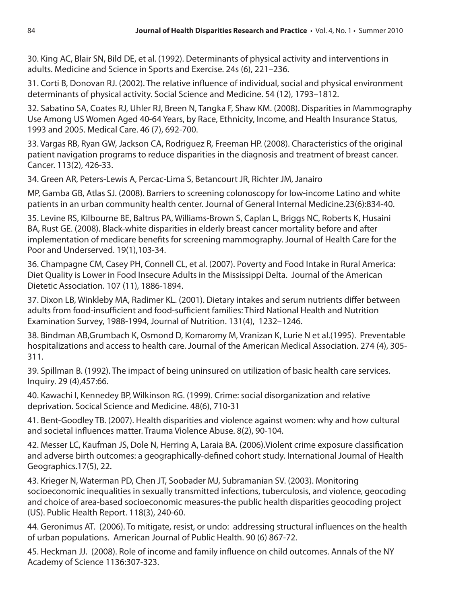30. King AC, Blair SN, Bild DE, et al. (1992). Determinants of physical activity and interventions in adults. Medicine and Science in Sports and Exercise. 24s (6), 221–236.

31. Corti B, Donovan RJ. (2002). The relative influence of individual, social and physical environment determinants of physical activity. Social Science and Medicine. 54 (12), 1793–1812.

32. Sabatino SA, Coates RJ, Uhler RJ, Breen N, Tangka F, Shaw KM. (2008). Disparities in Mammography Use Among US Women Aged 40-64 Years, by Race, Ethnicity, Income, and Health Insurance Status, 1993 and 2005. Medical Care. 46 (7), 692-700.

33. Vargas RB, Ryan GW, Jackson CA, Rodriguez R, Freeman HP. (2008). Characteristics of the original patient navigation programs to reduce disparities in the diagnosis and treatment of breast cancer. Cancer. 113(2), 426-33.

34. Green AR, Peters-Lewis A, Percac-Lima S, Betancourt JR, Richter JM, Janairo

MP, Gamba GB, Atlas SJ. (2008). Barriers to screening colonoscopy for low-income Latino and white patients in an urban community health center. Journal of General Internal Medicine.23(6):834-40.

35. Levine RS, Kilbourne BE, Baltrus PA, Williams-Brown S, Caplan L, Briggs NC, Roberts K, Husaini BA, Rust GE. (2008). Black-white disparities in elderly breast cancer mortality before and after implementation of medicare benefits for screening mammography. Journal of Health Care for the Poor and Underserved. 19(1),103-34.

36. Champagne CM, Casey PH, Connell CL, et al. (2007). Poverty and Food Intake in Rural America: Diet Quality is Lower in Food Insecure Adults in the Mississippi Delta. Journal of the American Dietetic Association. 107 (11), 1886-1894.

37. Dixon LB, Winkleby MA, Radimer KL. (2001). Dietary intakes and serum nutrients differ between adults from food-insufficient and food-sufficient families: Third National Health and Nutrition Examination Survey, 1988-1994, Journal of Nutrition. 131(4), 1232–1246.

38. Bindman AB,Grumbach K, Osmond D, Komaromy M, Vranizan K, Lurie N et al.(1995). Preventable hospitalizations and access to health care. Journal of the American Medical Association. 274 (4), 305- 311.

39. Spillman B. (1992). The impact of being uninsured on utilization of basic health care services. Inquiry. 29 (4),457:66.

40. Kawachi I, Kennedey BP, Wilkinson RG. (1999). Crime: social disorganization and relative deprivation. Socical Science and Medicine. 48(6), 710-31

41. Bent-Goodley TB. (2007). Health disparities and violence against women: why and how cultural and societal influences matter. Trauma Violence Abuse. 8(2), 90-104.

42. Messer LC, Kaufman JS, Dole N, Herring A, Laraia BA. (2006).Violent crime exposure classification and adverse birth outcomes: a geographically-defined cohort study. International Journal of Health Geographics.17(5), 22.

43. Krieger N, Waterman PD, Chen JT, Soobader MJ, Subramanian SV. (2003). Monitoring socioeconomic inequalities in sexually transmitted infections, tuberculosis, and violence, geocoding and choice of area-based socioeconomic measures-the public health disparities geocoding project (US). Public Health Report. 118(3), 240-60.

44. Geronimus AT. (2006). To mitigate, resist, or undo: addressing structural influences on the health of urban populations. American Journal of Public Health. 90 (6) 867-72.

45. Heckman JJ. (2008). Role of income and family influence on child outcomes. Annals of the NY Academy of Science 1136:307-323.